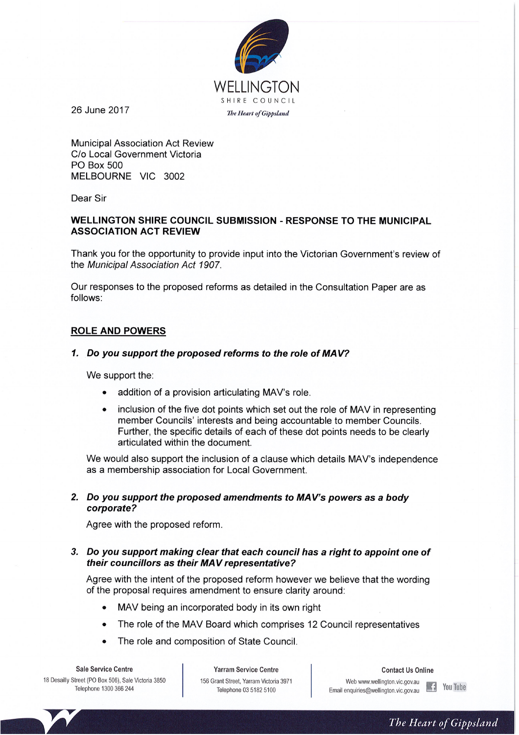

26 June 2017

**Municipal Association Act Review** C/o Local Government Victoria PO Box 500 MELBOURNE VIC 3002

Dear Sir

## **WELLINGTON SHIRE COUNCIL SUBMISSION - RESPONSE TO THE MUNICIPAL ASSOCIATION ACT REVIEW**

Thank you for the opportunity to provide input into the Victorian Government's review of the Municipal Association Act 1907.

Our responses to the proposed reforms as detailed in the Consultation Paper are as follows:

### **ROLE AND POWERS**

#### 1. Do you support the proposed reforms to the role of MAV?

We support the:

- addition of a provision articulating MAV's role.
- inclusion of the five dot points which set out the role of MAV in representing  $\bullet$ member Councils' interests and being accountable to member Councils. Further, the specific details of each of these dot points needs to be clearly articulated within the document.

We would also support the inclusion of a clause which details MAV's independence as a membership association for Local Government.

#### 2. Do you support the proposed amendments to MAV's powers as a body corporate?

Agree with the proposed reform.

#### 3. Do you support making clear that each council has a right to appoint one of their councillors as their MAV representative?

Agree with the intent of the proposed reform however we believe that the wording of the proposal requires amendment to ensure clarity around:

- MAV being an incorporated body in its own right
- The role of the MAV Board which comprises 12 Council representatives  $\bullet$
- The role and composition of State Council.

**Sale Service Centre** 18 Desailly Street (PO Box 506), Sale Victoria 3850 Telephone 1300 366 244

**Yarram Service Centre** 156 Grant Street, Yarram Victoria 3971 Telephone 03 5182 5100

**Contact Us Online** 

Web www.wellington.vic.gov.au

Email enquiries@wellington.vic.gov.au

The Heart of Gippsland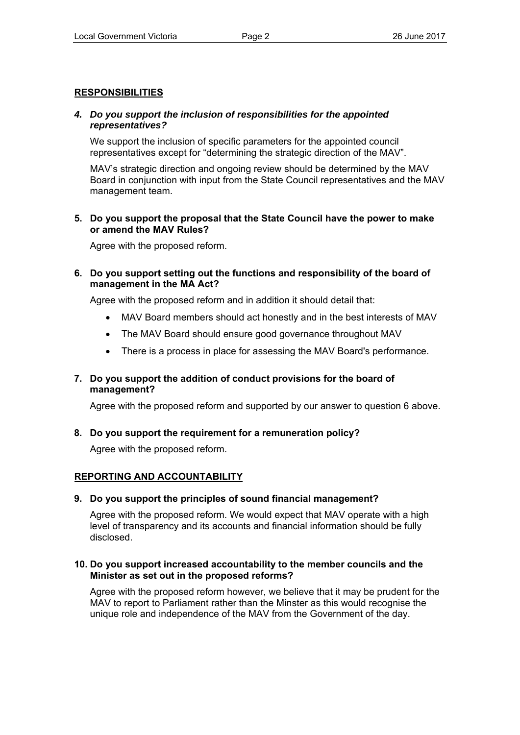# **RESPONSIBILITIES**

# *4. Do you support the inclusion of responsibilities for the appointed representatives?*

We support the inclusion of specific parameters for the appointed council representatives except for "determining the strategic direction of the MAV".

MAV's strategic direction and ongoing review should be determined by the MAV Board in conjunction with input from the State Council representatives and the MAV management team.

## **5. Do you support the proposal that the State Council have the power to make or amend the MAV Rules?**

Agree with the proposed reform.

# **6. Do you support setting out the functions and responsibility of the board of management in the MA Act?**

Agree with the proposed reform and in addition it should detail that:

- MAV Board members should act honestly and in the best interests of MAV
- The MAV Board should ensure good governance throughout MAV
- There is a process in place for assessing the MAV Board's performance.

# **7. Do you support the addition of conduct provisions for the board of management?**

Agree with the proposed reform and supported by our answer to question 6 above.

## **8. Do you support the requirement for a remuneration policy?**

Agree with the proposed reform.

## **REPORTING AND ACCOUNTABILITY**

## **9. Do you support the principles of sound financial management?**

Agree with the proposed reform. We would expect that MAV operate with a high level of transparency and its accounts and financial information should be fully disclosed.

### **10. Do you support increased accountability to the member councils and the Minister as set out in the proposed reforms?**

Agree with the proposed reform however, we believe that it may be prudent for the MAV to report to Parliament rather than the Minster as this would recognise the unique role and independence of the MAV from the Government of the day.